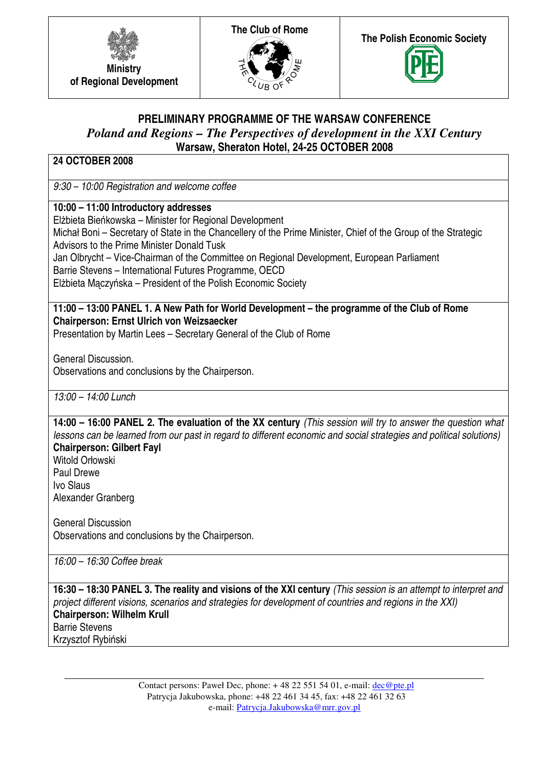





# **PRELIMINARY PROGRAMME OF THE WARSAW CONFERENCE**  *Poland and Regions – The Perspectives of development in the XXI Century*  **Warsaw, Sheraton Hotel, 24-25 OCTOBER 2008**

### **24 OCTOBER 2008**

9:30 – 10:00 Registration and welcome coffee

**10:00 – 11:00 Introductory addresses**

Elżbieta Bieńkowska – Minister for Regional Development

Michał Boni – Secretary of State in the Chancellery of the Prime Minister, Chief of the Group of the Strategic Advisors to the Prime Minister Donald Tusk

Jan Olbrycht – Vice-Chairman of the Committee on Regional Development, European Parliament

Barrie Stevens – International Futures Programme, OECD

Elżbieta Mączyńska – President of the Polish Economic Society

**11:00 – 13:00 PANEL 1. A New Path for World Development – the programme of the Club of Rome Chairperson: Ernst Ulrich von Weizsaecker** 

Presentation by Martin Lees – Secretary General of the Club of Rome

General Discussion. Observations and conclusions by the Chairperson.

 $13:00 - 14:00$  Lunch

**14:00 – 16:00 PANEL 2. The evaluation of the XX century** (This session will try to answer the question what lessons can be learned from our past in regard to different economic and social strategies and political solutions) **Chairperson: Gilbert Fayl** 

Witold Orłowski Paul Drewe Ivo Slaus Alexander Granberg

General Discussion Observations and conclusions by the Chairperson.

16:00 – 16:30 Coffee break

**16:30 – 18:30 PANEL 3. The reality and visions of the XXI century** (This session is an attempt to interpret and project different visions, scenarios and strategies for development of countries and regions in the XXI) **Chairperson: Wilhelm Krull** 

Barrie Stevens Krzysztof Rybiński